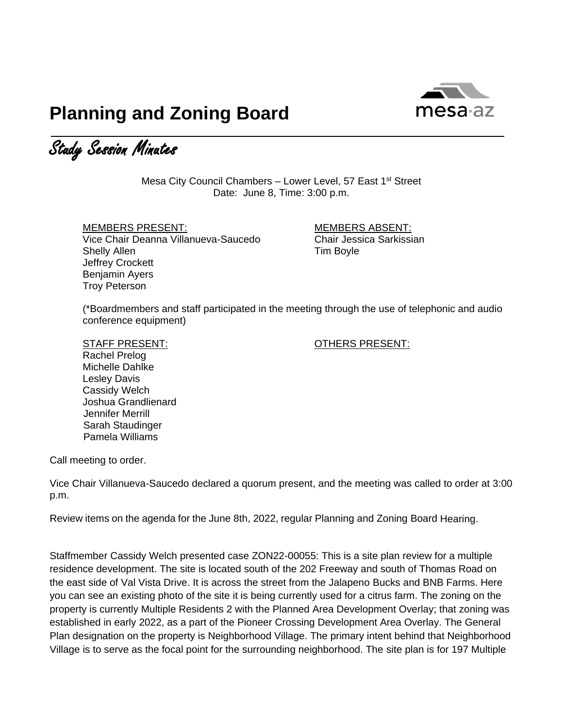

## **Planning and Zoning Board**

Study Session Minutes

Mesa City Council Chambers – Lower Level, 57 East 1<sup>st</sup> Street Date: June 8, Time: 3:00 p.m.

MEMBERS PRESENT: MEMBERS ABSENT: Vice Chair Deanna Villanueva-Saucedo Chair Jessica Sarkissian Shelly Allen **Tim Boyle** Jeffrey Crockett Benjamin Ayers Troy Peterson

(\*Boardmembers and staff participated in the meeting through the use of telephonic and audio conference equipment)

## STAFF PRESENT: CONTROLLERS PRESENT:

Rachel Prelog Michelle Dahlke Lesley Davis Cassidy Welch Joshua Grandlienard Jennifer Merrill Sarah Staudinger Pamela Williams

Call meeting to order.

Vice Chair Villanueva-Saucedo declared a quorum present, and the meeting was called to order at 3:00 p.m.

Review items on the agenda for the June 8th, 2022, regular Planning and Zoning Board Hearing.

Staffmember Cassidy Welch presented case ZON22-00055: This is a site plan review for a multiple residence development. The site is located south of the 202 Freeway and south of Thomas Road on the east side of Val Vista Drive. It is across the street from the Jalapeno Bucks and BNB Farms. Here you can see an existing photo of the site it is being currently used for a citrus farm. The zoning on the property is currently Multiple Residents 2 with the Planned Area Development Overlay; that zoning was established in early 2022, as a part of the Pioneer Crossing Development Area Overlay. The General Plan designation on the property is Neighborhood Village. The primary intent behind that Neighborhood Village is to serve as the focal point for the surrounding neighborhood. The site plan is for 197 Multiple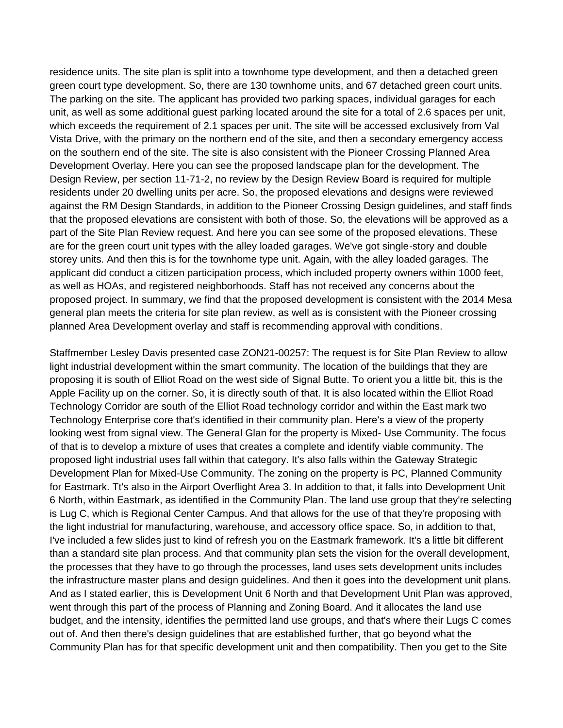residence units. The site plan is split into a townhome type development, and then a detached green green court type development. So, there are 130 townhome units, and 67 detached green court units. The parking on the site. The applicant has provided two parking spaces, individual garages for each unit, as well as some additional guest parking located around the site for a total of 2.6 spaces per unit, which exceeds the requirement of 2.1 spaces per unit. The site will be accessed exclusively from Val Vista Drive, with the primary on the northern end of the site, and then a secondary emergency access on the southern end of the site. The site is also consistent with the Pioneer Crossing Planned Area Development Overlay. Here you can see the proposed landscape plan for the development. The Design Review, per section 11-71-2, no review by the Design Review Board is required for multiple residents under 20 dwelling units per acre. So, the proposed elevations and designs were reviewed against the RM Design Standards, in addition to the Pioneer Crossing Design guidelines, and staff finds that the proposed elevations are consistent with both of those. So, the elevations will be approved as a part of the Site Plan Review request. And here you can see some of the proposed elevations. These are for the green court unit types with the alley loaded garages. We've got single-story and double storey units. And then this is for the townhome type unit. Again, with the alley loaded garages. The applicant did conduct a citizen participation process, which included property owners within 1000 feet, as well as HOAs, and registered neighborhoods. Staff has not received any concerns about the proposed project. In summary, we find that the proposed development is consistent with the 2014 Mesa general plan meets the criteria for site plan review, as well as is consistent with the Pioneer crossing planned Area Development overlay and staff is recommending approval with conditions.

Staffmember Lesley Davis presented case ZON21-00257: The request is for Site Plan Review to allow light industrial development within the smart community. The location of the buildings that they are proposing it is south of Elliot Road on the west side of Signal Butte. To orient you a little bit, this is the Apple Facility up on the corner. So, it is directly south of that. It is also located within the Elliot Road Technology Corridor are south of the Elliot Road technology corridor and within the East mark two Technology Enterprise core that's identified in their community plan. Here's a view of the property looking west from signal view. The General Glan for the property is Mixed- Use Community. The focus of that is to develop a mixture of uses that creates a complete and identify viable community. The proposed light industrial uses fall within that category. It's also falls within the Gateway Strategic Development Plan for Mixed-Use Community. The zoning on the property is PC, Planned Community for Eastmark. Tt's also in the Airport Overflight Area 3. In addition to that, it falls into Development Unit 6 North, within Eastmark, as identified in the Community Plan. The land use group that they're selecting is Lug C, which is Regional Center Campus. And that allows for the use of that they're proposing with the light industrial for manufacturing, warehouse, and accessory office space. So, in addition to that, I've included a few slides just to kind of refresh you on the Eastmark framework. It's a little bit different than a standard site plan process. And that community plan sets the vision for the overall development, the processes that they have to go through the processes, land uses sets development units includes the infrastructure master plans and design guidelines. And then it goes into the development unit plans. And as I stated earlier, this is Development Unit 6 North and that Development Unit Plan was approved, went through this part of the process of Planning and Zoning Board. And it allocates the land use budget, and the intensity, identifies the permitted land use groups, and that's where their Lugs C comes out of. And then there's design guidelines that are established further, that go beyond what the Community Plan has for that specific development unit and then compatibility. Then you get to the Site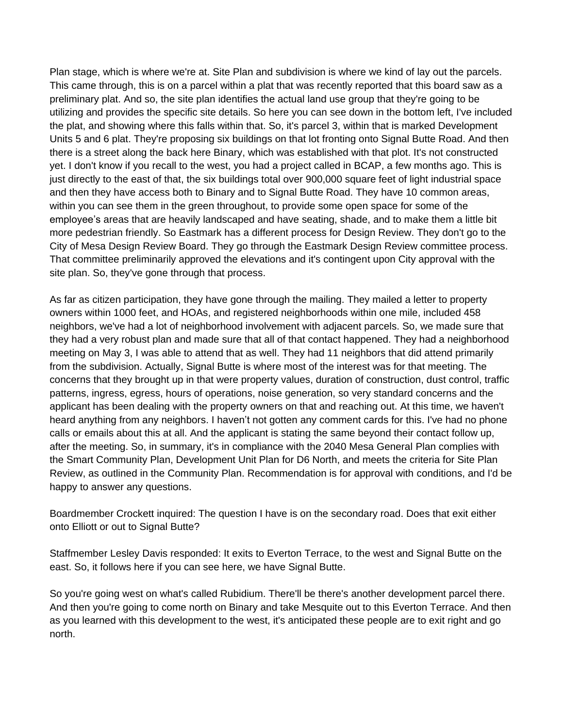Plan stage, which is where we're at. Site Plan and subdivision is where we kind of lay out the parcels. This came through, this is on a parcel within a plat that was recently reported that this board saw as a preliminary plat. And so, the site plan identifies the actual land use group that they're going to be utilizing and provides the specific site details. So here you can see down in the bottom left, I've included the plat, and showing where this falls within that. So, it's parcel 3, within that is marked Development Units 5 and 6 plat. They're proposing six buildings on that lot fronting onto Signal Butte Road. And then there is a street along the back here Binary, which was established with that plot. It's not constructed yet. I don't know if you recall to the west, you had a project called in BCAP, a few months ago. This is just directly to the east of that, the six buildings total over 900,000 square feet of light industrial space and then they have access both to Binary and to Signal Butte Road. They have 10 common areas, within you can see them in the green throughout, to provide some open space for some of the employee's areas that are heavily landscaped and have seating, shade, and to make them a little bit more pedestrian friendly. So Eastmark has a different process for Design Review. They don't go to the City of Mesa Design Review Board. They go through the Eastmark Design Review committee process. That committee preliminarily approved the elevations and it's contingent upon City approval with the site plan. So, they've gone through that process.

As far as citizen participation, they have gone through the mailing. They mailed a letter to property owners within 1000 feet, and HOAs, and registered neighborhoods within one mile, included 458 neighbors, we've had a lot of neighborhood involvement with adjacent parcels. So, we made sure that they had a very robust plan and made sure that all of that contact happened. They had a neighborhood meeting on May 3, I was able to attend that as well. They had 11 neighbors that did attend primarily from the subdivision. Actually, Signal Butte is where most of the interest was for that meeting. The concerns that they brought up in that were property values, duration of construction, dust control, traffic patterns, ingress, egress, hours of operations, noise generation, so very standard concerns and the applicant has been dealing with the property owners on that and reaching out. At this time, we haven't heard anything from any neighbors. I haven't not gotten any comment cards for this. I've had no phone calls or emails about this at all. And the applicant is stating the same beyond their contact follow up, after the meeting. So, in summary, it's in compliance with the 2040 Mesa General Plan complies with the Smart Community Plan, Development Unit Plan for D6 North, and meets the criteria for Site Plan Review, as outlined in the Community Plan. Recommendation is for approval with conditions, and I'd be happy to answer any questions.

Boardmember Crockett inquired: The question I have is on the secondary road. Does that exit either onto Elliott or out to Signal Butte?

Staffmember Lesley Davis responded: It exits to Everton Terrace, to the west and Signal Butte on the east. So, it follows here if you can see here, we have Signal Butte.

So you're going west on what's called Rubidium. There'll be there's another development parcel there. And then you're going to come north on Binary and take Mesquite out to this Everton Terrace. And then as you learned with this development to the west, it's anticipated these people are to exit right and go north.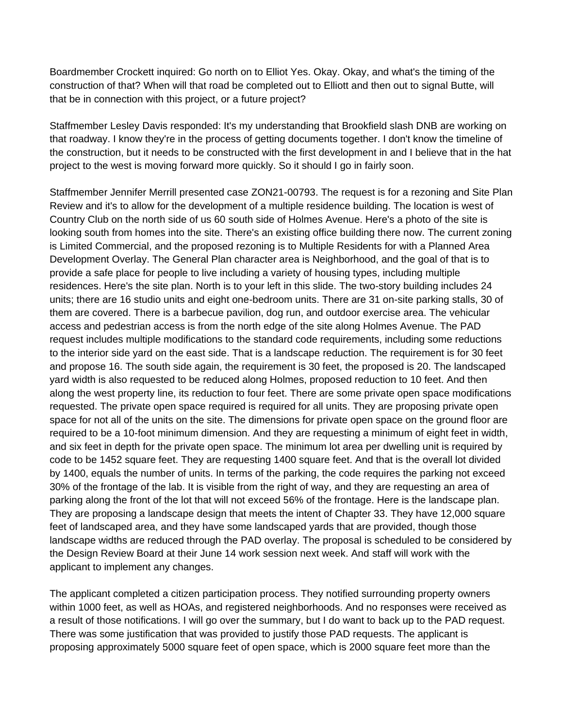Boardmember Crockett inquired: Go north on to Elliot Yes. Okay. Okay, and what's the timing of the construction of that? When will that road be completed out to Elliott and then out to signal Butte, will that be in connection with this project, or a future project?

Staffmember Lesley Davis responded: It's my understanding that Brookfield slash DNB are working on that roadway. I know they're in the process of getting documents together. I don't know the timeline of the construction, but it needs to be constructed with the first development in and I believe that in the hat project to the west is moving forward more quickly. So it should I go in fairly soon.

Staffmember Jennifer Merrill presented case ZON21-00793. The request is for a rezoning and Site Plan Review and it's to allow for the development of a multiple residence building. The location is west of Country Club on the north side of us 60 south side of Holmes Avenue. Here's a photo of the site is looking south from homes into the site. There's an existing office building there now. The current zoning is Limited Commercial, and the proposed rezoning is to Multiple Residents for with a Planned Area Development Overlay. The General Plan character area is Neighborhood, and the goal of that is to provide a safe place for people to live including a variety of housing types, including multiple residences. Here's the site plan. North is to your left in this slide. The two-story building includes 24 units; there are 16 studio units and eight one-bedroom units. There are 31 on-site parking stalls, 30 of them are covered. There is a barbecue pavilion, dog run, and outdoor exercise area. The vehicular access and pedestrian access is from the north edge of the site along Holmes Avenue. The PAD request includes multiple modifications to the standard code requirements, including some reductions to the interior side yard on the east side. That is a landscape reduction. The requirement is for 30 feet and propose 16. The south side again, the requirement is 30 feet, the proposed is 20. The landscaped yard width is also requested to be reduced along Holmes, proposed reduction to 10 feet. And then along the west property line, its reduction to four feet. There are some private open space modifications requested. The private open space required is required for all units. They are proposing private open space for not all of the units on the site. The dimensions for private open space on the ground floor are required to be a 10-foot minimum dimension. And they are requesting a minimum of eight feet in width, and six feet in depth for the private open space. The minimum lot area per dwelling unit is required by code to be 1452 square feet. They are requesting 1400 square feet. And that is the overall lot divided by 1400, equals the number of units. In terms of the parking, the code requires the parking not exceed 30% of the frontage of the lab. It is visible from the right of way, and they are requesting an area of parking along the front of the lot that will not exceed 56% of the frontage. Here is the landscape plan. They are proposing a landscape design that meets the intent of Chapter 33. They have 12,000 square feet of landscaped area, and they have some landscaped yards that are provided, though those landscape widths are reduced through the PAD overlay. The proposal is scheduled to be considered by the Design Review Board at their June 14 work session next week. And staff will work with the applicant to implement any changes.

The applicant completed a citizen participation process. They notified surrounding property owners within 1000 feet, as well as HOAs, and registered neighborhoods. And no responses were received as a result of those notifications. I will go over the summary, but I do want to back up to the PAD request. There was some justification that was provided to justify those PAD requests. The applicant is proposing approximately 5000 square feet of open space, which is 2000 square feet more than the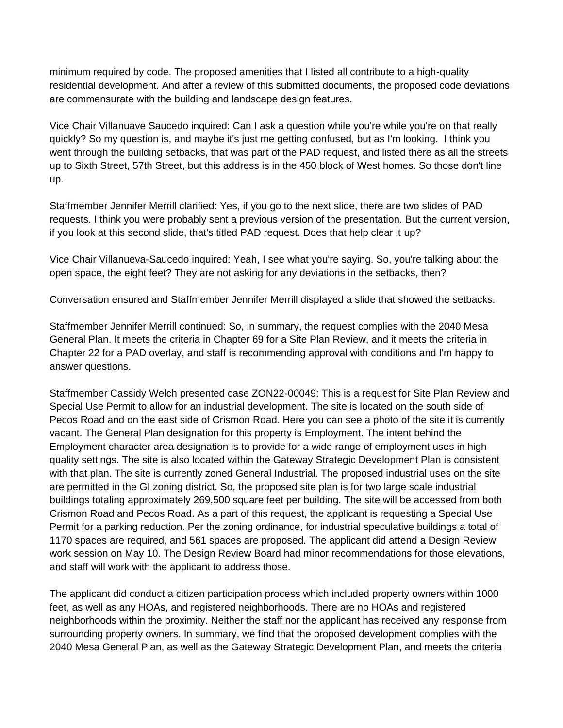minimum required by code. The proposed amenities that I listed all contribute to a high-quality residential development. And after a review of this submitted documents, the proposed code deviations are commensurate with the building and landscape design features.

Vice Chair Villanuave Saucedo inquired: Can I ask a question while you're while you're on that really quickly? So my question is, and maybe it's just me getting confused, but as I'm looking. I think you went through the building setbacks, that was part of the PAD request, and listed there as all the streets up to Sixth Street, 57th Street, but this address is in the 450 block of West homes. So those don't line up.

Staffmember Jennifer Merrill clarified: Yes, if you go to the next slide, there are two slides of PAD requests. I think you were probably sent a previous version of the presentation. But the current version, if you look at this second slide, that's titled PAD request. Does that help clear it up?

Vice Chair Villanueva-Saucedo inquired: Yeah, I see what you're saying. So, you're talking about the open space, the eight feet? They are not asking for any deviations in the setbacks, then?

Conversation ensured and Staffmember Jennifer Merrill displayed a slide that showed the setbacks.

Staffmember Jennifer Merrill continued: So, in summary, the request complies with the 2040 Mesa General Plan. It meets the criteria in Chapter 69 for a Site Plan Review, and it meets the criteria in Chapter 22 for a PAD overlay, and staff is recommending approval with conditions and I'm happy to answer questions.

Staffmember Cassidy Welch presented case ZON22-00049: This is a request for Site Plan Review and Special Use Permit to allow for an industrial development. The site is located on the south side of Pecos Road and on the east side of Crismon Road. Here you can see a photo of the site it is currently vacant. The General Plan designation for this property is Employment. The intent behind the Employment character area designation is to provide for a wide range of employment uses in high quality settings. The site is also located within the Gateway Strategic Development Plan is consistent with that plan. The site is currently zoned General Industrial. The proposed industrial uses on the site are permitted in the GI zoning district. So, the proposed site plan is for two large scale industrial buildings totaling approximately 269,500 square feet per building. The site will be accessed from both Crismon Road and Pecos Road. As a part of this request, the applicant is requesting a Special Use Permit for a parking reduction. Per the zoning ordinance, for industrial speculative buildings a total of 1170 spaces are required, and 561 spaces are proposed. The applicant did attend a Design Review work session on May 10. The Design Review Board had minor recommendations for those elevations, and staff will work with the applicant to address those.

The applicant did conduct a citizen participation process which included property owners within 1000 feet, as well as any HOAs, and registered neighborhoods. There are no HOAs and registered neighborhoods within the proximity. Neither the staff nor the applicant has received any response from surrounding property owners. In summary, we find that the proposed development complies with the 2040 Mesa General Plan, as well as the Gateway Strategic Development Plan, and meets the criteria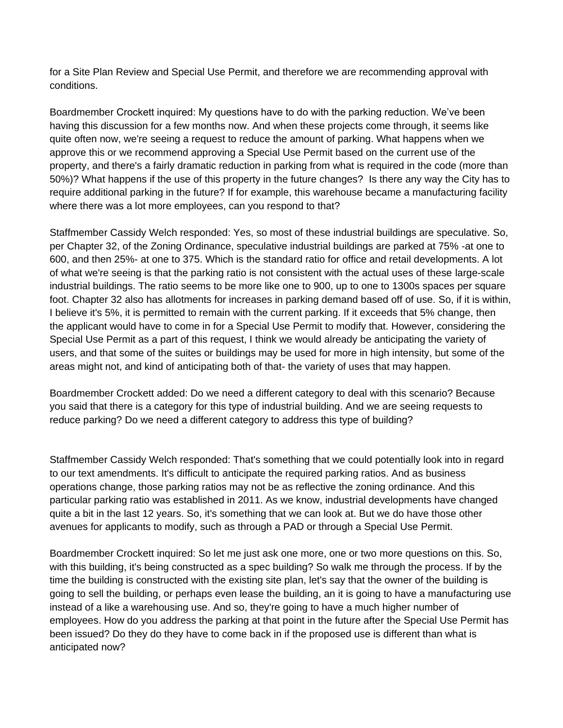for a Site Plan Review and Special Use Permit, and therefore we are recommending approval with conditions.

Boardmember Crockett inquired: My questions have to do with the parking reduction. We've been having this discussion for a few months now. And when these projects come through, it seems like quite often now, we're seeing a request to reduce the amount of parking. What happens when we approve this or we recommend approving a Special Use Permit based on the current use of the property, and there's a fairly dramatic reduction in parking from what is required in the code (more than 50%)? What happens if the use of this property in the future changes? Is there any way the City has to require additional parking in the future? If for example, this warehouse became a manufacturing facility where there was a lot more employees, can you respond to that?

Staffmember Cassidy Welch responded: Yes, so most of these industrial buildings are speculative. So, per Chapter 32, of the Zoning Ordinance, speculative industrial buildings are parked at 75% -at one to 600, and then 25%- at one to 375. Which is the standard ratio for office and retail developments. A lot of what we're seeing is that the parking ratio is not consistent with the actual uses of these large-scale industrial buildings. The ratio seems to be more like one to 900, up to one to 1300s spaces per square foot. Chapter 32 also has allotments for increases in parking demand based off of use. So, if it is within, I believe it's 5%, it is permitted to remain with the current parking. If it exceeds that 5% change, then the applicant would have to come in for a Special Use Permit to modify that. However, considering the Special Use Permit as a part of this request, I think we would already be anticipating the variety of users, and that some of the suites or buildings may be used for more in high intensity, but some of the areas might not, and kind of anticipating both of that- the variety of uses that may happen.

Boardmember Crockett added: Do we need a different category to deal with this scenario? Because you said that there is a category for this type of industrial building. And we are seeing requests to reduce parking? Do we need a different category to address this type of building?

Staffmember Cassidy Welch responded: That's something that we could potentially look into in regard to our text amendments. It's difficult to anticipate the required parking ratios. And as business operations change, those parking ratios may not be as reflective the zoning ordinance. And this particular parking ratio was established in 2011. As we know, industrial developments have changed quite a bit in the last 12 years. So, it's something that we can look at. But we do have those other avenues for applicants to modify, such as through a PAD or through a Special Use Permit.

Boardmember Crockett inquired: So let me just ask one more, one or two more questions on this. So, with this building, it's being constructed as a spec building? So walk me through the process. If by the time the building is constructed with the existing site plan, let's say that the owner of the building is going to sell the building, or perhaps even lease the building, an it is going to have a manufacturing use instead of a like a warehousing use. And so, they're going to have a much higher number of employees. How do you address the parking at that point in the future after the Special Use Permit has been issued? Do they do they have to come back in if the proposed use is different than what is anticipated now?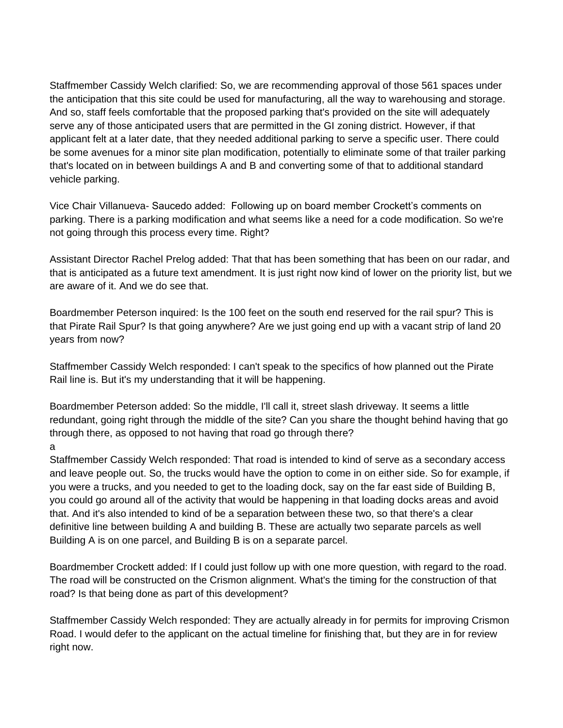Staffmember Cassidy Welch clarified: So, we are recommending approval of those 561 spaces under the anticipation that this site could be used for manufacturing, all the way to warehousing and storage. And so, staff feels comfortable that the proposed parking that's provided on the site will adequately serve any of those anticipated users that are permitted in the GI zoning district. However, if that applicant felt at a later date, that they needed additional parking to serve a specific user. There could be some avenues for a minor site plan modification, potentially to eliminate some of that trailer parking that's located on in between buildings A and B and converting some of that to additional standard vehicle parking.

Vice Chair Villanueva- Saucedo added: Following up on board member Crockett's comments on parking. There is a parking modification and what seems like a need for a code modification. So we're not going through this process every time. Right?

Assistant Director Rachel Prelog added: That that has been something that has been on our radar, and that is anticipated as a future text amendment. It is just right now kind of lower on the priority list, but we are aware of it. And we do see that.

Boardmember Peterson inquired: Is the 100 feet on the south end reserved for the rail spur? This is that Pirate Rail Spur? Is that going anywhere? Are we just going end up with a vacant strip of land 20 years from now?

Staffmember Cassidy Welch responded: I can't speak to the specifics of how planned out the Pirate Rail line is. But it's my understanding that it will be happening.

Boardmember Peterson added: So the middle, I'll call it, street slash driveway. It seems a little redundant, going right through the middle of the site? Can you share the thought behind having that go through there, as opposed to not having that road go through there?

## a

Staffmember Cassidy Welch responded: That road is intended to kind of serve as a secondary access and leave people out. So, the trucks would have the option to come in on either side. So for example, if you were a trucks, and you needed to get to the loading dock, say on the far east side of Building B, you could go around all of the activity that would be happening in that loading docks areas and avoid that. And it's also intended to kind of be a separation between these two, so that there's a clear definitive line between building A and building B. These are actually two separate parcels as well Building A is on one parcel, and Building B is on a separate parcel.

Boardmember Crockett added: If I could just follow up with one more question, with regard to the road. The road will be constructed on the Crismon alignment. What's the timing for the construction of that road? Is that being done as part of this development?

Staffmember Cassidy Welch responded: They are actually already in for permits for improving Crismon Road. I would defer to the applicant on the actual timeline for finishing that, but they are in for review right now.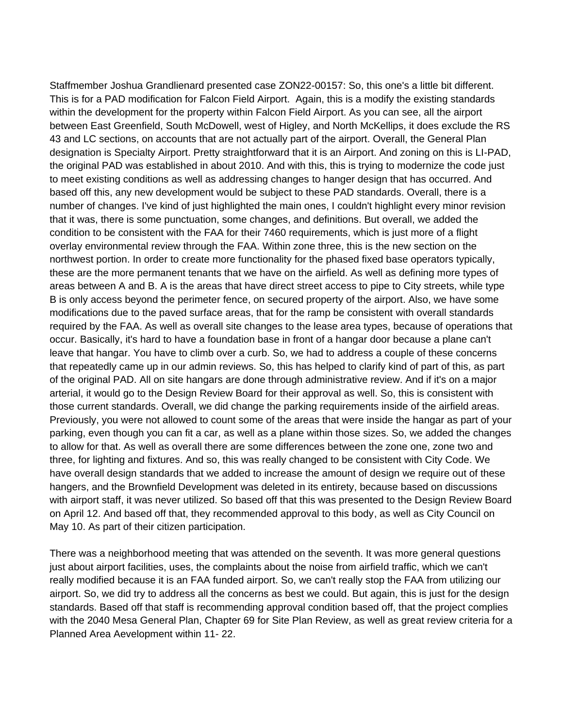Staffmember Joshua Grandlienard presented case ZON22-00157: So, this one's a little bit different. This is for a PAD modification for Falcon Field Airport. Again, this is a modify the existing standards within the development for the property within Falcon Field Airport. As you can see, all the airport between East Greenfield, South McDowell, west of Higley, and North McKellips, it does exclude the RS 43 and LC sections, on accounts that are not actually part of the airport. Overall, the General Plan designation is Specialty Airport. Pretty straightforward that it is an Airport. And zoning on this is LI-PAD, the original PAD was established in about 2010. And with this, this is trying to modernize the code just to meet existing conditions as well as addressing changes to hanger design that has occurred. And based off this, any new development would be subject to these PAD standards. Overall, there is a number of changes. I've kind of just highlighted the main ones, I couldn't highlight every minor revision that it was, there is some punctuation, some changes, and definitions. But overall, we added the condition to be consistent with the FAA for their 7460 requirements, which is just more of a flight overlay environmental review through the FAA. Within zone three, this is the new section on the northwest portion. In order to create more functionality for the phased fixed base operators typically, these are the more permanent tenants that we have on the airfield. As well as defining more types of areas between A and B. A is the areas that have direct street access to pipe to City streets, while type B is only access beyond the perimeter fence, on secured property of the airport. Also, we have some modifications due to the paved surface areas, that for the ramp be consistent with overall standards required by the FAA. As well as overall site changes to the lease area types, because of operations that occur. Basically, it's hard to have a foundation base in front of a hangar door because a plane can't leave that hangar. You have to climb over a curb. So, we had to address a couple of these concerns that repeatedly came up in our admin reviews. So, this has helped to clarify kind of part of this, as part of the original PAD. All on site hangars are done through administrative review. And if it's on a major arterial, it would go to the Design Review Board for their approval as well. So, this is consistent with those current standards. Overall, we did change the parking requirements inside of the airfield areas. Previously, you were not allowed to count some of the areas that were inside the hangar as part of your parking, even though you can fit a car, as well as a plane within those sizes. So, we added the changes to allow for that. As well as overall there are some differences between the zone one, zone two and three, for lighting and fixtures. And so, this was really changed to be consistent with City Code. We have overall design standards that we added to increase the amount of design we require out of these hangers, and the Brownfield Development was deleted in its entirety, because based on discussions with airport staff, it was never utilized. So based off that this was presented to the Design Review Board on April 12. And based off that, they recommended approval to this body, as well as City Council on May 10. As part of their citizen participation.

There was a neighborhood meeting that was attended on the seventh. It was more general questions just about airport facilities, uses, the complaints about the noise from airfield traffic, which we can't really modified because it is an FAA funded airport. So, we can't really stop the FAA from utilizing our airport. So, we did try to address all the concerns as best we could. But again, this is just for the design standards. Based off that staff is recommending approval condition based off, that the project complies with the 2040 Mesa General Plan, Chapter 69 for Site Plan Review, as well as great review criteria for a Planned Area Aevelopment within 11- 22.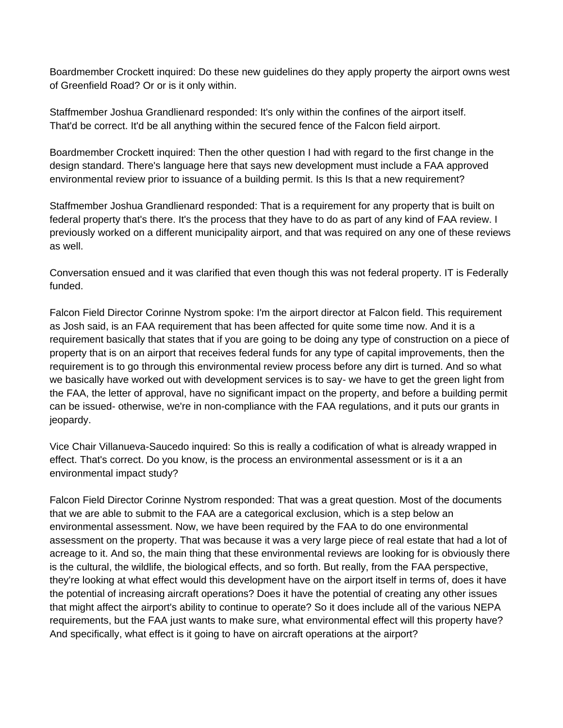Boardmember Crockett inquired: Do these new guidelines do they apply property the airport owns west of Greenfield Road? Or or is it only within.

Staffmember Joshua Grandlienard responded: It's only within the confines of the airport itself. That'd be correct. It'd be all anything within the secured fence of the Falcon field airport.

Boardmember Crockett inquired: Then the other question I had with regard to the first change in the design standard. There's language here that says new development must include a FAA approved environmental review prior to issuance of a building permit. Is this Is that a new requirement?

Staffmember Joshua Grandlienard responded: That is a requirement for any property that is built on federal property that's there. It's the process that they have to do as part of any kind of FAA review. I previously worked on a different municipality airport, and that was required on any one of these reviews as well.

Conversation ensued and it was clarified that even though this was not federal property. IT is Federally funded.

Falcon Field Director Corinne Nystrom spoke: I'm the airport director at Falcon field. This requirement as Josh said, is an FAA requirement that has been affected for quite some time now. And it is a requirement basically that states that if you are going to be doing any type of construction on a piece of property that is on an airport that receives federal funds for any type of capital improvements, then the requirement is to go through this environmental review process before any dirt is turned. And so what we basically have worked out with development services is to say- we have to get the green light from the FAA, the letter of approval, have no significant impact on the property, and before a building permit can be issued- otherwise, we're in non-compliance with the FAA regulations, and it puts our grants in jeopardy.

Vice Chair Villanueva-Saucedo inquired: So this is really a codification of what is already wrapped in effect. That's correct. Do you know, is the process an environmental assessment or is it a an environmental impact study?

Falcon Field Director Corinne Nystrom responded: That was a great question. Most of the documents that we are able to submit to the FAA are a categorical exclusion, which is a step below an environmental assessment. Now, we have been required by the FAA to do one environmental assessment on the property. That was because it was a very large piece of real estate that had a lot of acreage to it. And so, the main thing that these environmental reviews are looking for is obviously there is the cultural, the wildlife, the biological effects, and so forth. But really, from the FAA perspective, they're looking at what effect would this development have on the airport itself in terms of, does it have the potential of increasing aircraft operations? Does it have the potential of creating any other issues that might affect the airport's ability to continue to operate? So it does include all of the various NEPA requirements, but the FAA just wants to make sure, what environmental effect will this property have? And specifically, what effect is it going to have on aircraft operations at the airport?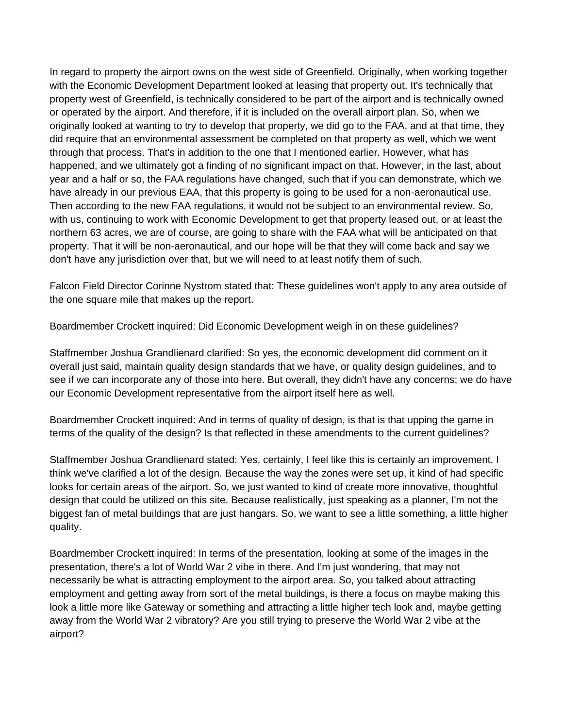In regard to property the airport owns on the west side of Greenfield. Originally, when working together with the Economic Development Department looked at leasing that property out. It's technically that property west of Greenfield, is technically considered to be part of the airport and is technically owned or operated by the airport. And therefore, if it is included on the overall airport plan. So, when we originally looked at wanting to try to develop that property, we did go to the FAA, and at that time, they did require that an environmental assessment be completed on that property as well, which we went through that process. That's in addition to the one that I mentioned earlier. However, what has happened, and we ultimately got a finding of no significant impact on that. However, in the last, about year and a half or so, the FAA regulations have changed, such that if you can demonstrate, which we have already in our previous EAA, that this property is going to be used for a non-aeronautical use. Then according to the new FAA regulations, it would not be subject to an environmental review. So, with us, continuing to work with Economic Development to get that property leased out, or at least the northern 63 acres, we are of course, are going to share with the FAA what will be anticipated on that property. That it will be non-aeronautical, and our hope will be that they will come back and say we don't have any jurisdiction over that, but we will need to at least notify them of such.

Falcon Field Director Corinne Nystrom stated that: These guidelines won't apply to any area outside of the one square mile that makes up the report.

Boardmember Crockett inquired: Did Economic Development weigh in on these guidelines?

Staffmember Joshua Grandlienard clarified: So yes, the economic development did comment on it overall just said, maintain quality design standards that we have, or quality design guidelines, and to see if we can incorporate any of those into here. But overall, they didn't have any concerns; we do have our Economic Development representative from the airport itself here as well.

Boardmember Crockett inquired: And in terms of quality of design, is that is that upping the game in terms of the quality of the design? Is that reflected in these amendments to the current guidelines?

Staffmember Joshua Grandlienard stated: Yes, certainly, I feel like this is certainly an improvement. I think we've clarified a lot of the design. Because the way the zones were set up, it kind of had specific looks for certain areas of the airport. So, we just wanted to kind of create more innovative, thoughtful design that could be utilized on this site. Because realistically, just speaking as a planner, I'm not the biggest fan of metal buildings that are just hangars. So, we want to see a little something, a little higher quality.

Boardmember Crockett inquired: In terms of the presentation, looking at some of the images in the presentation, there's a lot of World War 2 vibe in there. And I'm just wondering, that may not necessarily be what is attracting employment to the airport area. So, you talked about attracting employment and getting away from sort of the metal buildings, is there a focus on maybe making this look a little more like Gateway or something and attracting a little higher tech look and, maybe getting away from the World War 2 vibratory? Are you still trying to preserve the World War 2 vibe at the airport?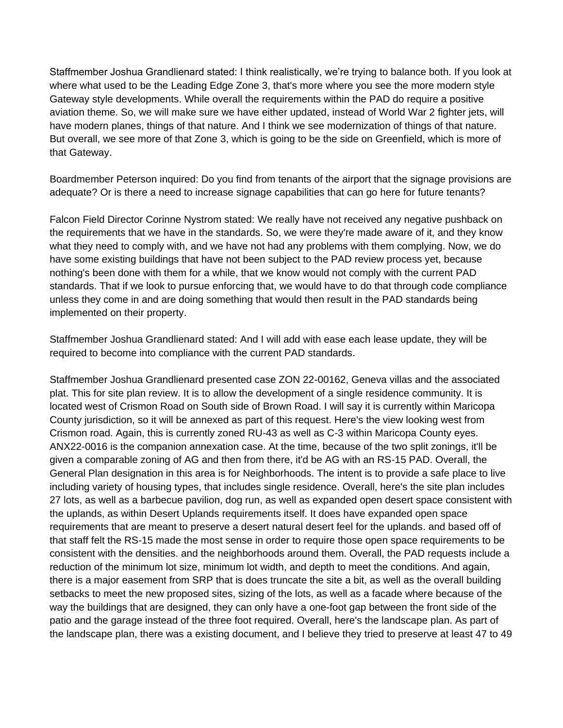Staffmember Joshua Grandlienard stated: I think realistically, we're trying to balance both. If you look at where what used to be the Leading Edge Zone 3, that's more where you see the more modern style Gateway style developments. While overall the requirements within the PAD do require a positive aviation theme. So, we will make sure we have either updated, instead of World War 2 fighter jets, will have modern planes, things of that nature. And I think we see modernization of things of that nature. But overall, we see more of that Zone 3, which is going to be the side on Greenfield, which is more of that Gateway.

Boardmember Peterson inquired: Do you find from tenants of the airport that the signage provisions are adequate? Or is there a need to increase signage capabilities that can go here for future tenants?

Falcon Field Director Corinne Nystrom stated: We really have not received any negative pushback on the requirements that we have in the standards. So, we were they're made aware of it, and they know what they need to comply with, and we have not had any problems with them complying. Now, we do have some existing buildings that have not been subject to the PAD review process yet, because nothing's been done with them for a while, that we know would not comply with the current PAD standards. That if we look to pursue enforcing that, we would have to do that through code compliance unless they come in and are doing something that would then result in the PAD standards being implemented on their property.

Staffmember Joshua Grandlienard stated: And I will add with ease each lease update, they will be required to become into compliance with the current PAD standards.

Staffmember Joshua Grandlienard presented case ZON 22-00162, Geneva villas and the associated plat. This for site plan review. It is to allow the development of a single residence community. It is located west of Crismon Road on South side of Brown Road. I will say it is currently within Maricopa County jurisdiction, so it will be annexed as part of this request. Here's the view looking west from Crismon road. Again, this is currently zoned RU-43 as well as C-3 within Maricopa County eyes. ANX22-0016 is the companion annexation case. At the time, because of the two split zonings, it'll be given a comparable zoning of AG and then from there, it'd be AG with an RS-15 PAD. Overall, the General Plan designation in this area is for Neighborhoods. The intent is to provide a safe place to live including variety of housing types, that includes single residence. Overall, here's the site plan includes 27 lots, as well as a barbecue pavilion, dog run, as well as expanded open desert space consistent with the uplands, as within Desert Uplands requirements itself. It does have expanded open space requirements that are meant to preserve a desert natural desert feel for the uplands. and based off of that staff felt the RS-15 made the most sense in order to require those open space requirements to be consistent with the densities. and the neighborhoods around them. Overall, the PAD requests include a reduction of the minimum lot size, minimum lot width, and depth to meet the conditions. And again, there is a major easement from SRP that is does truncate the site a bit, as well as the overall building setbacks to meet the new proposed sites, sizing of the lots, as well as a facade where because of the way the buildings that are designed, they can only have a one-foot gap between the front side of the patio and the garage instead of the three foot required. Overall, here's the landscape plan. As part of the landscape plan, there was a existing document, and I believe they tried to preserve at least 47 to 49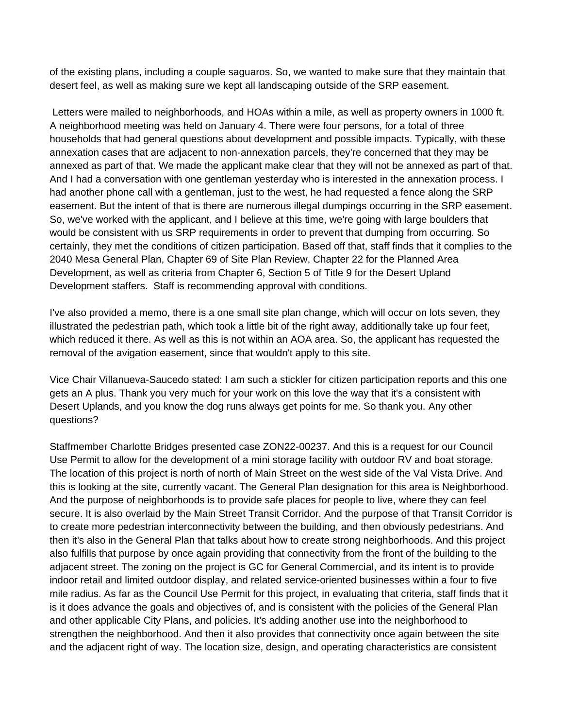of the existing plans, including a couple saguaros. So, we wanted to make sure that they maintain that desert feel, as well as making sure we kept all landscaping outside of the SRP easement.

Letters were mailed to neighborhoods, and HOAs within a mile, as well as property owners in 1000 ft. A neighborhood meeting was held on January 4. There were four persons, for a total of three households that had general questions about development and possible impacts. Typically, with these annexation cases that are adjacent to non-annexation parcels, they're concerned that they may be annexed as part of that. We made the applicant make clear that they will not be annexed as part of that. And I had a conversation with one gentleman yesterday who is interested in the annexation process. I had another phone call with a gentleman, just to the west, he had requested a fence along the SRP easement. But the intent of that is there are numerous illegal dumpings occurring in the SRP easement. So, we've worked with the applicant, and I believe at this time, we're going with large boulders that would be consistent with us SRP requirements in order to prevent that dumping from occurring. So certainly, they met the conditions of citizen participation. Based off that, staff finds that it complies to the 2040 Mesa General Plan, Chapter 69 of Site Plan Review, Chapter 22 for the Planned Area Development, as well as criteria from Chapter 6, Section 5 of Title 9 for the Desert Upland Development staffers. Staff is recommending approval with conditions.

I've also provided a memo, there is a one small site plan change, which will occur on lots seven, they illustrated the pedestrian path, which took a little bit of the right away, additionally take up four feet, which reduced it there. As well as this is not within an AOA area. So, the applicant has requested the removal of the avigation easement, since that wouldn't apply to this site.

Vice Chair Villanueva-Saucedo stated: I am such a stickler for citizen participation reports and this one gets an A plus. Thank you very much for your work on this love the way that it's a consistent with Desert Uplands, and you know the dog runs always get points for me. So thank you. Any other questions?

Staffmember Charlotte Bridges presented case ZON22-00237. And this is a request for our Council Use Permit to allow for the development of a mini storage facility with outdoor RV and boat storage. The location of this project is north of north of Main Street on the west side of the Val Vista Drive. And this is looking at the site, currently vacant. The General Plan designation for this area is Neighborhood. And the purpose of neighborhoods is to provide safe places for people to live, where they can feel secure. It is also overlaid by the Main Street Transit Corridor. And the purpose of that Transit Corridor is to create more pedestrian interconnectivity between the building, and then obviously pedestrians. And then it's also in the General Plan that talks about how to create strong neighborhoods. And this project also fulfills that purpose by once again providing that connectivity from the front of the building to the adjacent street. The zoning on the project is GC for General Commercial, and its intent is to provide indoor retail and limited outdoor display, and related service-oriented businesses within a four to five mile radius. As far as the Council Use Permit for this project, in evaluating that criteria, staff finds that it is it does advance the goals and objectives of, and is consistent with the policies of the General Plan and other applicable City Plans, and policies. It's adding another use into the neighborhood to strengthen the neighborhood. And then it also provides that connectivity once again between the site and the adjacent right of way. The location size, design, and operating characteristics are consistent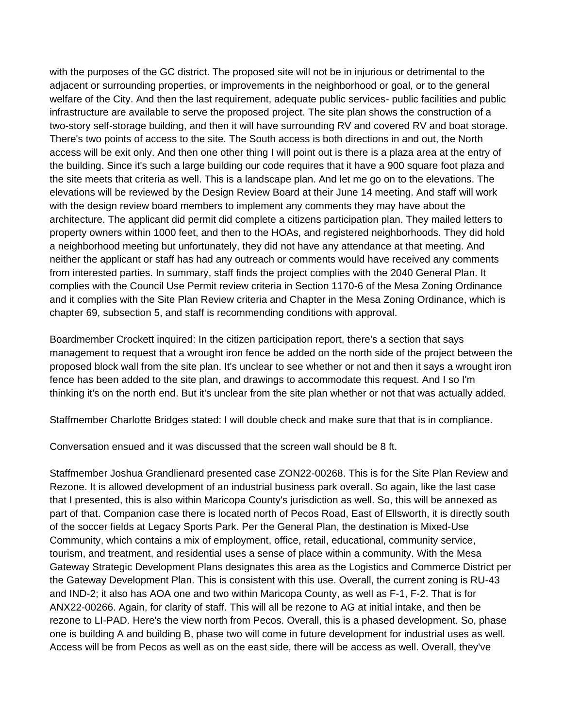with the purposes of the GC district. The proposed site will not be in injurious or detrimental to the adjacent or surrounding properties, or improvements in the neighborhood or goal, or to the general welfare of the City. And then the last requirement, adequate public services- public facilities and public infrastructure are available to serve the proposed project. The site plan shows the construction of a two-story self-storage building, and then it will have surrounding RV and covered RV and boat storage. There's two points of access to the site. The South access is both directions in and out, the North access will be exit only. And then one other thing I will point out is there is a plaza area at the entry of the building. Since it's such a large building our code requires that it have a 900 square foot plaza and the site meets that criteria as well. This is a landscape plan. And let me go on to the elevations. The elevations will be reviewed by the Design Review Board at their June 14 meeting. And staff will work with the design review board members to implement any comments they may have about the architecture. The applicant did permit did complete a citizens participation plan. They mailed letters to property owners within 1000 feet, and then to the HOAs, and registered neighborhoods. They did hold a neighborhood meeting but unfortunately, they did not have any attendance at that meeting. And neither the applicant or staff has had any outreach or comments would have received any comments from interested parties. In summary, staff finds the project complies with the 2040 General Plan. It complies with the Council Use Permit review criteria in Section 1170-6 of the Mesa Zoning Ordinance and it complies with the Site Plan Review criteria and Chapter in the Mesa Zoning Ordinance, which is chapter 69, subsection 5, and staff is recommending conditions with approval.

Boardmember Crockett inquired: In the citizen participation report, there's a section that says management to request that a wrought iron fence be added on the north side of the project between the proposed block wall from the site plan. It's unclear to see whether or not and then it says a wrought iron fence has been added to the site plan, and drawings to accommodate this request. And I so I'm thinking it's on the north end. But it's unclear from the site plan whether or not that was actually added.

Staffmember Charlotte Bridges stated: I will double check and make sure that that is in compliance.

Conversation ensued and it was discussed that the screen wall should be 8 ft.

Staffmember Joshua Grandlienard presented case ZON22-00268. This is for the Site Plan Review and Rezone. It is allowed development of an industrial business park overall. So again, like the last case that I presented, this is also within Maricopa County's jurisdiction as well. So, this will be annexed as part of that. Companion case there is located north of Pecos Road, East of Ellsworth, it is directly south of the soccer fields at Legacy Sports Park. Per the General Plan, the destination is Mixed-Use Community, which contains a mix of employment, office, retail, educational, community service, tourism, and treatment, and residential uses a sense of place within a community. With the Mesa Gateway Strategic Development Plans designates this area as the Logistics and Commerce District per the Gateway Development Plan. This is consistent with this use. Overall, the current zoning is RU-43 and IND-2; it also has AOA one and two within Maricopa County, as well as F-1, F-2. That is for ANX22-00266. Again, for clarity of staff. This will all be rezone to AG at initial intake, and then be rezone to LI-PAD. Here's the view north from Pecos. Overall, this is a phased development. So, phase one is building A and building B, phase two will come in future development for industrial uses as well. Access will be from Pecos as well as on the east side, there will be access as well. Overall, they've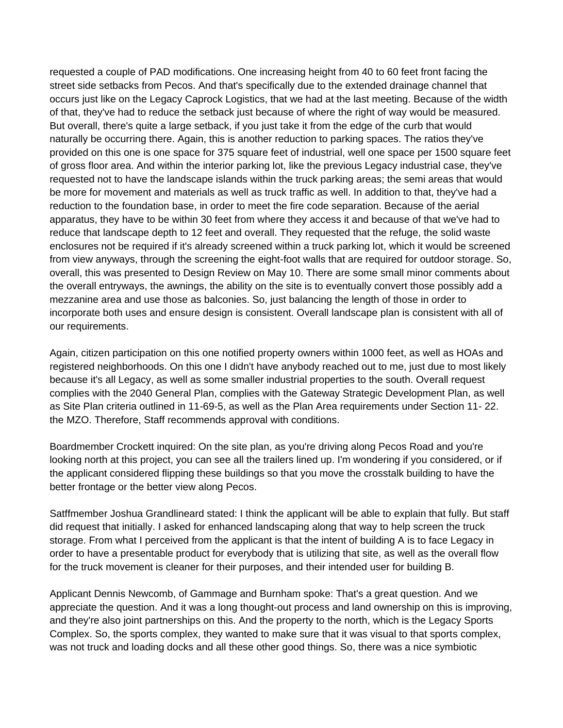requested a couple of PAD modifications. One increasing height from 40 to 60 feet front facing the street side setbacks from Pecos. And that's specifically due to the extended drainage channel that occurs just like on the Legacy Caprock Logistics, that we had at the last meeting. Because of the width of that, they've had to reduce the setback just because of where the right of way would be measured. But overall, there's quite a large setback, if you just take it from the edge of the curb that would naturally be occurring there. Again, this is another reduction to parking spaces. The ratios they've provided on this one is one space for 375 square feet of industrial, well one space per 1500 square feet of gross floor area. And within the interior parking lot, like the previous Legacy industrial case, they've requested not to have the landscape islands within the truck parking areas; the semi areas that would be more for movement and materials as well as truck traffic as well. In addition to that, they've had a reduction to the foundation base, in order to meet the fire code separation. Because of the aerial apparatus, they have to be within 30 feet from where they access it and because of that we've had to reduce that landscape depth to 12 feet and overall. They requested that the refuge, the solid waste enclosures not be required if it's already screened within a truck parking lot, which it would be screened from view anyways, through the screening the eight-foot walls that are required for outdoor storage. So, overall, this was presented to Design Review on May 10. There are some small minor comments about the overall entryways, the awnings, the ability on the site is to eventually convert those possibly add a mezzanine area and use those as balconies. So, just balancing the length of those in order to incorporate both uses and ensure design is consistent. Overall landscape plan is consistent with all of our requirements.

Again, citizen participation on this one notified property owners within 1000 feet, as well as HOAs and registered neighborhoods. On this one I didn't have anybody reached out to me, just due to most likely because it's all Legacy, as well as some smaller industrial properties to the south. Overall request complies with the 2040 General Plan, complies with the Gateway Strategic Development Plan, as well as Site Plan criteria outlined in 11-69-5, as well as the Plan Area requirements under Section 11- 22. the MZO. Therefore, Staff recommends approval with conditions.

Boardmember Crockett inquired: On the site plan, as you're driving along Pecos Road and you're looking north at this project, you can see all the trailers lined up. I'm wondering if you considered, or if the applicant considered flipping these buildings so that you move the crosstalk building to have the better frontage or the better view along Pecos.

Satffmember Joshua Grandlineard stated: I think the applicant will be able to explain that fully. But staff did request that initially. I asked for enhanced landscaping along that way to help screen the truck storage. From what I perceived from the applicant is that the intent of building A is to face Legacy in order to have a presentable product for everybody that is utilizing that site, as well as the overall flow for the truck movement is cleaner for their purposes, and their intended user for building B.

Applicant Dennis Newcomb, of Gammage and Burnham spoke: That's a great question. And we appreciate the question. And it was a long thought-out process and land ownership on this is improving, and they're also joint partnerships on this. And the property to the north, which is the Legacy Sports Complex. So, the sports complex, they wanted to make sure that it was visual to that sports complex, was not truck and loading docks and all these other good things. So, there was a nice symbiotic